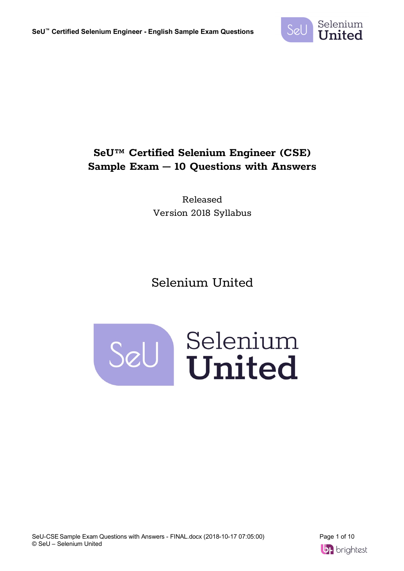

## **SeU™ Certified Selenium Engineer (CSE) Sample Exam – 10 Questions with Answers**

Released Version 2018 Syllabus

# Selenium United



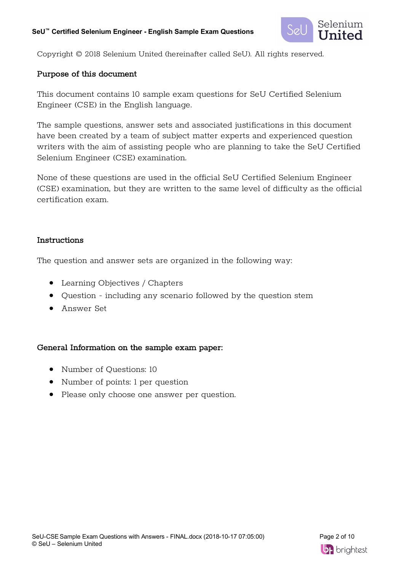

Copyright © 2018 Selenium United (hereinafter called SeU). All rights reserved.

### Purpose of this document

This document contains 10 sample exam questions for SeU Certified Selenium Engineer (CSE) in the English language.

The sample questions, answer sets and associated justifications in this document have been created by a team of subject matter experts and experienced question writers with the aim of assisting people who are planning to take the SeU Certified Selenium Engineer (CSE) examination.

None of these questions are used in the official SeU Certified Selenium Engineer (CSE) examination, but they are written to the same level of difficulty as the official certification exam.

### Instructions

The question and answer sets are organized in the following way:

- Learning Objectives / Chapters
- Question including any scenario followed by the question stem
- Answer Set

### General Information on the sample exam paper:

- Number of Questions: 10
- Number of points: 1 per question
- Please only choose one answer per question.

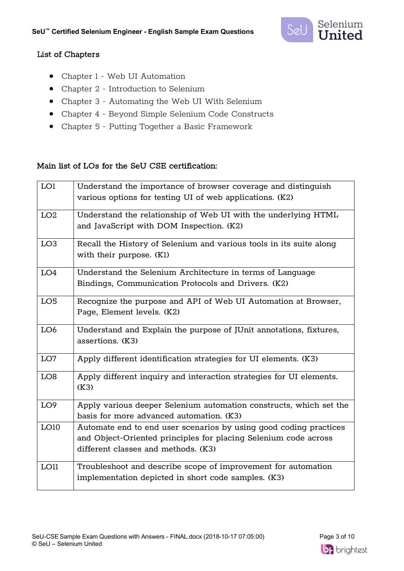

### List of Chapters

- Chapter 1 Web UI Automation
- Chapter 2 Introduction to Selenium
- Chapter 3 Automating the Web UI With Selenium
- Chapter 4 Beyond Simple Selenium Code Constructs
- Chapter 5 Putting Together a Basic Framework

### Main list of LOs for the SeU CSE certification:

| LO1             | Understand the importance of browser coverage and distinguish<br>various options for testing UI of web applications. (K2)                                                   |
|-----------------|-----------------------------------------------------------------------------------------------------------------------------------------------------------------------------|
| LO2             | Understand the relationship of Web UI with the underlying HTML<br>and JavaScript with DOM Inspection. (K2)                                                                  |
| LO <sub>3</sub> | Recall the History of Selenium and various tools in its suite along<br>with their purpose. (K1)                                                                             |
| LO4             | Understand the Selenium Architecture in terms of Language<br>Bindings, Communication Protocols and Drivers. (K2)                                                            |
| LO <sub>5</sub> | Recognize the purpose and API of Web UI Automation at Browser,<br>Page, Element levels. (K2)                                                                                |
| LO <sub>6</sub> | Understand and Explain the purpose of JUnit annotations, fixtures,<br>assertions. (K3)                                                                                      |
| LO7             | Apply different identification strategies for UI elements. (K3)                                                                                                             |
| LO <sub>8</sub> | Apply different inquiry and interaction strategies for UI elements.<br>(K3)                                                                                                 |
| LO <sub>9</sub> | Apply various deeper Selenium automation constructs, which set the<br>basis for more advanced automation. (K3)                                                              |
| LO10            | Automate end to end user scenarios by using good coding practices<br>and Object-Oriented principles for placing Selenium code across<br>different classes and methods. (K3) |
| LO11            | Troubleshoot and describe scope of improvement for automation<br>implementation depicted in short code samples. (K3)                                                        |

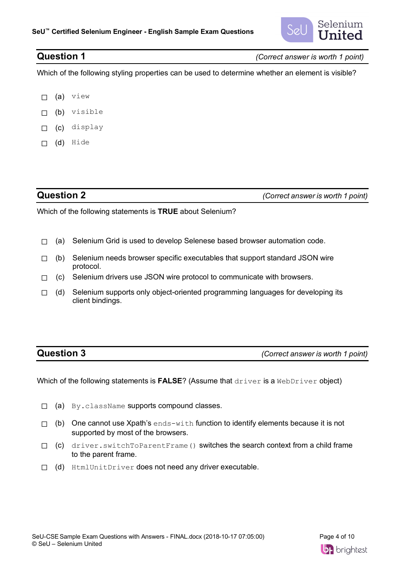

**Question 1** *(Correct answer is worth 1 point)*

Which of the following styling properties can be used to determine whether an element is visible?

- ☐ (a) view
- ☐ (b) visible
- ☐ (c) display
- ☐ (d) Hide

**Question 2** *(Correct answer is worth 1 point)*

Which of the following statements is **TRUE** about Selenium?

- □ (a) Selenium Grid is used to develop Selenese based browser automation code.
- $\Box$  (b) Selenium needs browser specific executables that support standard JSON wire protocol.
- $\Box$  (c) Selenium drivers use JSON wire protocol to communicate with browsers.
- □ (d) Selenium supports only object-oriented programming languages for developing its client bindings.

**Question 3** *(Correct answer is worth 1 point)*

Which of the following statements is **FALSE**? (Assume that driver is a WebDriver object)

- ☐ (a) By.className supports compound classes.
- $\Box$  (b) One cannot use Xpath's ends-with function to identify elements because it is not supported by most of the browsers.
- ☐ (c) driver.switchToParentFrame() switches the search context from a child frame to the parent frame.
- □ (d) HtmlUnitDriver does not need any driver executable.

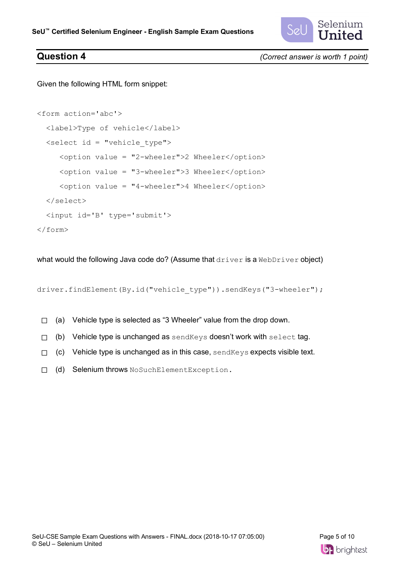

**Question 4** *(Correct answer is worth 1 point)*

Given the following HTML form snippet:

```
<form action='abc'>
   <label>Type of vehicle</label>
   <select id = "vehicle_type">
      <option value = "2-wheeler">2 Wheeler</option>
      <option value = "3-wheeler">3 Wheeler</option>
      <option value = "4-wheeler">4 Wheeler</option>
   </select>
   <input id='B' type='submit'>
</form>
```
what would the following Java code do? (Assume that driver is a WebDriver object)

driver.findElement(By.id("vehicle type")).sendKeys("3-wheeler");

- □ (a) Vehicle type is selected as "3 Wheeler" value from the drop down.
- □ (b) Vehicle type is unchanged as sendKeys doesn't work with select tag.
- $\Box$  (c) Vehicle type is unchanged as in this case, send Keys expects visible text.
- ☐ (d) Selenium throws NoSuchElementException.

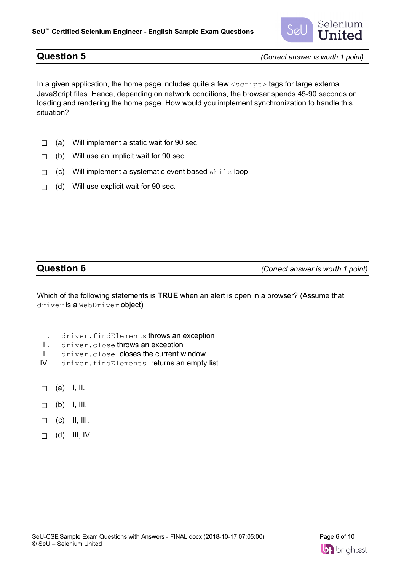

**Question 5** *(Correct answer is worth 1 point)*

In a given application, the home page includes quite a few  $\langle \text{script} \rangle$  tags for large external JavaScript files. Hence, depending on network conditions, the browser spends 45-90 seconds on loading and rendering the home page. How would you implement synchronization to handle this situation?

- $\Box$  (a) Will implement a static wait for 90 sec.
- $\Box$  (b) Will use an implicit wait for 90 sec.
- □ (c) Will implement a systematic event based while loop.
- $\Box$  (d) Will use explicit wait for 90 sec.

**Question 6** *(Correct answer is worth 1 point)*

Which of the following statements is **TRUE** when an alert is open in a browser? (Assume that driver is a WebDriver object)

- I. driver.findElements throws an exception
- II. driver.close throws an exception
- III. driver.close closes the current window.
- IV. driver.findElements returns an empty list.
- $\Box$  (a) I, II.
- $\Box$  (b) I, III.
- $\Box$  (c) II, III.
- $\Box$  (d) III, IV.

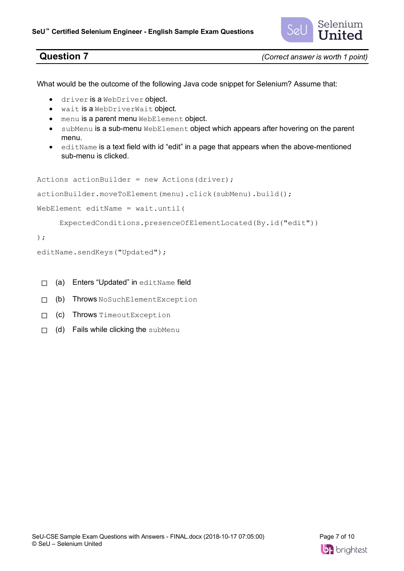

**Question 7** *(Correct answer is worth 1 point)*

What would be the outcome of the following Java code snippet for Selenium? Assume that:

- driver is a WebDriver object.
- wait is a WebDriverWait object.
- menu is a parent menu WebElement object.
- subMenu is a sub-menu WebElement object which appears after hovering on the parent menu.
- editName is a text field with id "edit" in a page that appears when the above-mentioned sub-menu is clicked.

```
Actions actionBuilder = new Actions(driver);
actionBuilder.moveToElement(menu).click(subMenu).build();
WebElement editName = wait.until(
      ExpectedConditions.presenceOfElementLocated(By.id("edit"))
);
```

```
editName.sendKeys("Updated");
```
- □ (a) Enters "Updated" in editName field
- ☐ (b) Throws NoSuchElementException
- ☐ (c) Throws TimeoutException
- □ (d) Fails while clicking the subMenu

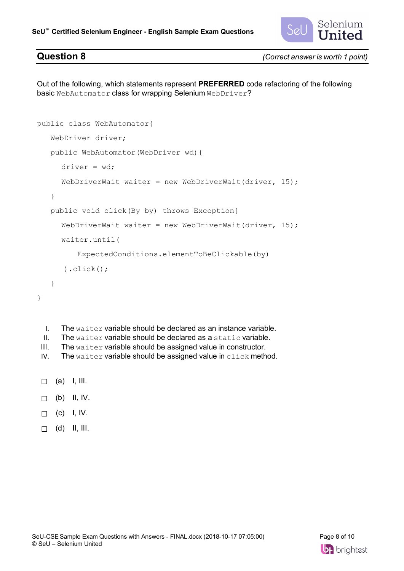

**Question 8** *(Correct answer is worth 1 point)*

Out of the following, which statements represent **PREFERRED** code refactoring of the following basic WebAutomator class for wrapping Selenium WebDriver?

```
public class WebAutomator{
    WebDriver driver;
    public WebAutomator(WebDriver wd){
     driver = wd;
     WebDriverWait waiter = new WebDriverWait(driver, 15);
    }
    public void click(By by) throws Exception{
      WebDriverWait waiter = new WebDriverWait(driver, 15);
     waiter.until(
          ExpectedConditions.elementToBeClickable(by)
       ).click();
    }
}
 I. The waiter variable should be declared as an instance variable.
```
- II. The waiter variable should be declared as a static variable.
- III. The waiter variable should be assigned value in constructor.
- IV. The waiter variable should be assigned value in click method.
- $\Box$  (a) I, III.
- $\Box$  (b) II, IV.
- $\sqcap$  (c) I, IV.
- $\Box$  (d) II, III.

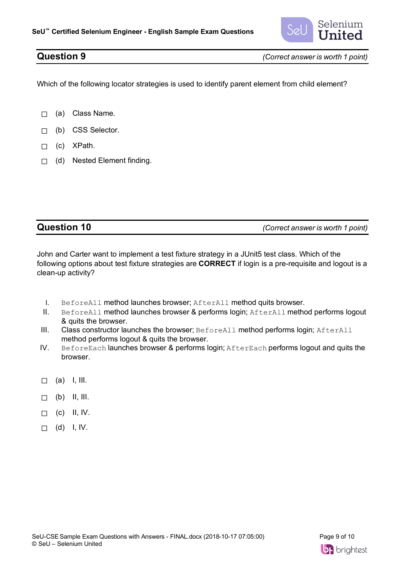

**Question 9** *(Correct answer is worth 1 point)*

Which of the following locator strategies is used to identify parent element from child element?

- □ (a) Class Name.
- ☐ (b) CSS Selector.
- ☐ (c) XPath.
- ☐ (d) Nested Element finding.

| (Correct answer is worth 1 point) |
|-----------------------------------|

John and Carter want to implement a test fixture strategy in a JUnit5 test class. Which of the following options about test fixture strategies are **CORRECT** if login is a pre-requisite and logout is a clean-up activity?

- I. BeforeAll method launches browser; AfterAll method quits browser.
- II. BeforeAll method launches browser & performs login; AfterAll method performs logout & quits the browser.
- III. Class constructor launches the browser; BeforeAll method performs login; AfterAll method performs logout & quits the browser.
- IV. BeforeEach launches browser & performs login; AfterEach performs logout and quits the browser.
- $\Box$  (a) I, III.
- $\Box$  (b) II, III.
- $\Box$  (c) II, IV.
- $\Box$  (d) I, IV.